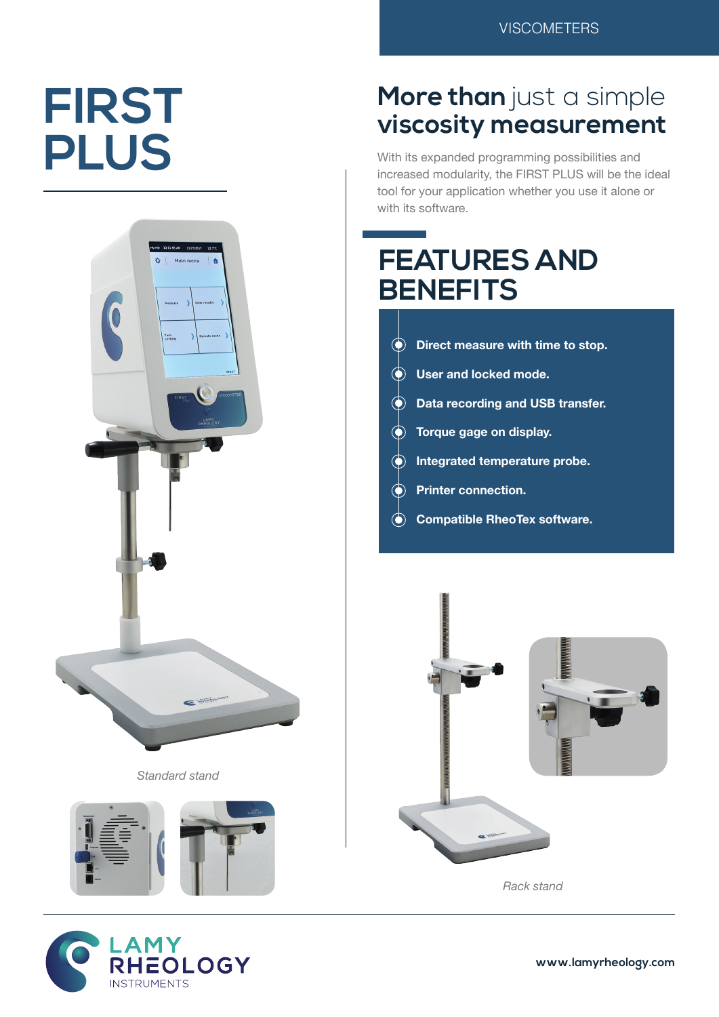# **FIRST PLUS**



*Standard stand*





### **More than** just a simple **viscosity measurement**

With its expanded programming possibilities and increased modularity, the FIRST PLUS will be the ideal tool for your application whether you use it alone or with its software.

## **FEATURES AND BENEFITS**

**Direct measure with time to stop. User and locked mode. Data recording and USB transfer. Torque gage on display. Integrated temperature probe. Printer connection. Compatible RheoTex software.**



*Rack stand*